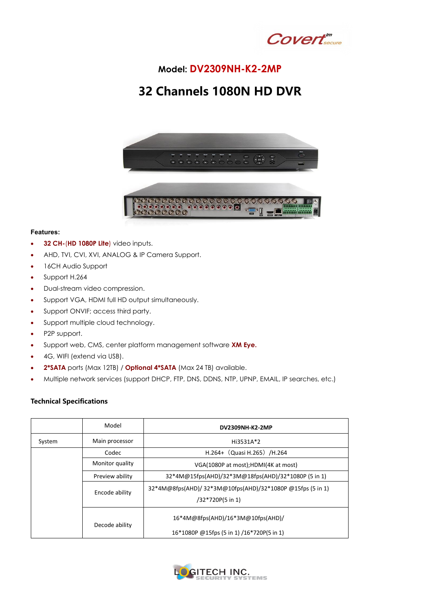

## **Model: DV2309NH-K2-2MP**

## **32 Channels 1080N HD DVR**



## **Features:**

- **32 CH-**(**HD 1080P Lite**) video inputs.
- AHD, TVI, CVI, XVI, ANALOG & IP Camera Support.
- 16CH Audio Support
- Support H.264
- Dual-stream video compression.
- Support VGA, HDMI full HD output simultaneously.
- Support ONVIF; access third party.
- Support multiple cloud technology.
- P2P support.
- Support web, CMS, center platform management software **XM Eye.**
- 4G, WIFI (extend via USB).
- **2\*SATA** ports (Max 12TB) / **Optional 4\*SATA** (Max 24 TB) available.
- Multiple network services (support DHCP, FTP, DNS, DDNS, NTP, UPNP, EMAIL, IP searches, etc.)

## **Technical Specifications**

|        | Model           | <b>DV2309NH-K2-2MP</b>                                                         |
|--------|-----------------|--------------------------------------------------------------------------------|
| System | Main processor  | Hi3531A*2                                                                      |
|        | Codec           | H.264+ $(Quasi H.265)$ /H.264                                                  |
|        | Monitor quality | VGA(1080P at most);HDMI(4K at most)                                            |
|        | Preview ability | 32*4M@15fps(AHD)/32*3M@18fps(AHD)/32*1080P (5 in 1)                            |
|        | Encode ability  | 32*4M@8fps(AHD)/32*3M@10fps(AHD)/32*1080P @15fps (5 in 1)<br>/32*720P(5 in 1)  |
|        | Decode ability  | 16*4M@8fps(AHD)/16*3M@10fps(AHD)/<br>16*1080P @15fps (5 in 1) /16*720P(5 in 1) |